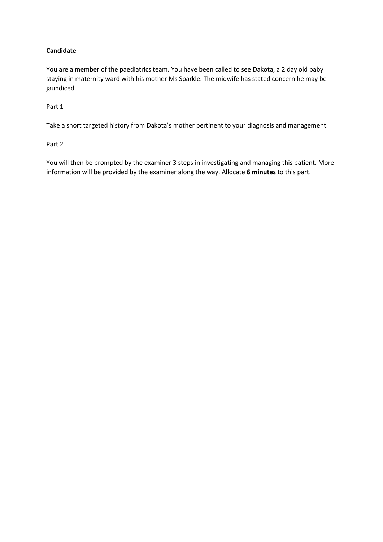# **Candidate**

You are a member of the paediatrics team. You have been called to see Dakota, a 2 day old baby staying in maternity ward with his mother Ms Sparkle. The midwife has stated concern he may be jaundiced.

Part 1

Take a short targeted history from Dakota's mother pertinent to your diagnosis and management.

Part 2

You will then be prompted by the examiner 3 steps in investigating and managing this patient. More information will be provided by the examiner along the way. Allocate **6 minutes** to this part.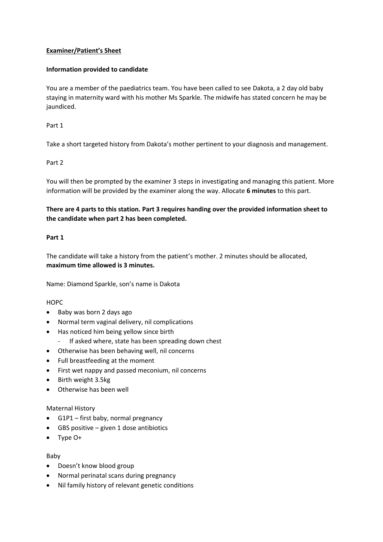## **Examiner/Patient's Sheet**

#### **Information provided to candidate**

You are a member of the paediatrics team. You have been called to see Dakota, a 2 day old baby staying in maternity ward with his mother Ms Sparkle. The midwife has stated concern he may be jaundiced.

Part 1

Take a short targeted history from Dakota's mother pertinent to your diagnosis and management.

## Part 2

You will then be prompted by the examiner 3 steps in investigating and managing this patient. More information will be provided by the examiner along the way. Allocate **6 minutes** to this part.

**There are 4 parts to this station. Part 3 requires handing over the provided information sheet to the candidate when part 2 has been completed.**

## **Part 1**

The candidate will take a history from the patient's mother. 2 minutes should be allocated, **maximum time allowed is 3 minutes.**

Name: Diamond Sparkle, son's name is Dakota

#### **HOPC**

- Baby was born 2 days ago
- Normal term vaginal delivery, nil complications
- Has noticed him being yellow since birth
	- If asked where, state has been spreading down chest
- Otherwise has been behaving well, nil concerns
- Full breastfeeding at the moment
- First wet nappy and passed meconium, nil concerns
- Birth weight 3.5kg
- Otherwise has been well

#### Maternal History

- G1P1 first baby, normal pregnancy
- GBS positive given 1 dose antibiotics
- Type O+

#### Baby

- Doesn't know blood group
- Normal perinatal scans during pregnancy
- Nil family history of relevant genetic conditions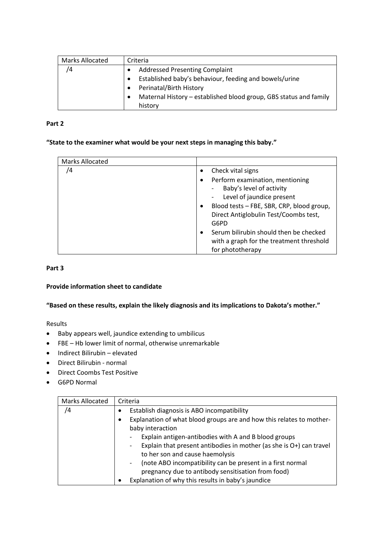| <b>Marks Allocated</b> | Criteria                                                          |
|------------------------|-------------------------------------------------------------------|
| /4                     | <b>Addressed Presenting Complaint</b>                             |
|                        | Established baby's behaviour, feeding and bowels/urine            |
|                        | Perinatal/Birth History                                           |
|                        | Maternal History – established blood group, GBS status and family |
|                        | history                                                           |

## **Part 2**

## **"State to the examiner what would be your next steps in managing this baby."**

| <b>Marks Allocated</b> |                                           |
|------------------------|-------------------------------------------|
| /4                     | Check vital signs                         |
|                        | Perform examination, mentioning           |
|                        | Baby's level of activity                  |
|                        | Level of jaundice present                 |
|                        | Blood tests - FBE, SBR, CRP, blood group, |
|                        | Direct Antiglobulin Test/Coombs test,     |
|                        | G6PD                                      |
|                        | Serum bilirubin should then be checked    |
|                        | with a graph for the treatment threshold  |
|                        | for phototherapy                          |

#### **Part 3**

## **Provide information sheet to candidate**

# **"Based on these results, explain the likely diagnosis and its implications to Dakota's mother."**

Results

- Baby appears well, jaundice extending to umbilicus
- FBE Hb lower limit of normal, otherwise unremarkable
- Indirect Bilirubin elevated
- Direct Bilirubin normal
- Direct Coombs Test Positive
- G6PD Normal

| <b>Marks Allocated</b> | Criteria                                                                 |
|------------------------|--------------------------------------------------------------------------|
| /4                     | Establish diagnosis is ABO incompatibility                               |
|                        | Explanation of what blood groups are and how this relates to mother-     |
|                        | baby interaction                                                         |
|                        | Explain antigen-antibodies with A and B blood groups                     |
|                        | Explain that present antibodies in mother (as she is O+) can travel<br>- |
|                        | to her son and cause haemolysis                                          |
|                        | (note ABO incompatibility can be present in a first normal<br>-          |
|                        | pregnancy due to antibody sensitisation from food)                       |
|                        | Explanation of why this results in baby's jaundice                       |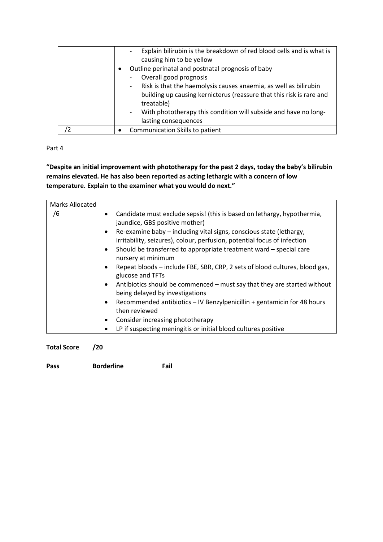| Explain bilirubin is the breakdown of red blood cells and is what is<br>causing him to be yellow<br>Outline perinatal and postnatal prognosis of baby<br>Overall good prognosis<br>Risk is that the haemolysis causes anaemia, as well as bilirubin<br>$\overline{\phantom{a}}$<br>building up causing kernicterus (reassure that this risk is rare and<br>treatable) |
|-----------------------------------------------------------------------------------------------------------------------------------------------------------------------------------------------------------------------------------------------------------------------------------------------------------------------------------------------------------------------|
| With phototherapy this condition will subside and have no long-<br>lasting consequences                                                                                                                                                                                                                                                                               |
| Communication Skills to patient                                                                                                                                                                                                                                                                                                                                       |

Part 4

**"Despite an initial improvement with phototherapy for the past 2 days, today the baby's bilirubin remains elevated. He has also been reported as acting lethargic with a concern of low temperature. Explain to the examiner what you would do next."**

| <b>Marks Allocated</b> |                                                                                                                                                                                                                                                                                                                                                                                                                                                                                                                                                                                                                                                                                                                                             |
|------------------------|---------------------------------------------------------------------------------------------------------------------------------------------------------------------------------------------------------------------------------------------------------------------------------------------------------------------------------------------------------------------------------------------------------------------------------------------------------------------------------------------------------------------------------------------------------------------------------------------------------------------------------------------------------------------------------------------------------------------------------------------|
| /6                     | Candidate must exclude sepsis! (this is based on lethargy, hypothermia,<br>٠<br>jaundice, GBS positive mother)<br>Re-examine baby – including vital signs, conscious state (lethargy,<br>٠<br>irritability, seizures), colour, perfusion, potential focus of infection<br>Should be transferred to appropriate treatment ward – special care<br>٠<br>nursery at minimum<br>Repeat bloods - include FBE, SBR, CRP, 2 sets of blood cultures, blood gas,<br>glucose and TFTs<br>Antibiotics should be commenced – must say that they are started without<br>$\bullet$<br>being delayed by investigations<br>Recommended antibiotics - IV Benzylpenicillin + gentamicin for 48 hours<br>٠<br>then reviewed<br>Consider increasing phototherapy |
|                        | LP if suspecting meningitis or initial blood cultures positive                                                                                                                                                                                                                                                                                                                                                                                                                                                                                                                                                                                                                                                                              |

**Total Score /20**

**Pass Borderline Fail**